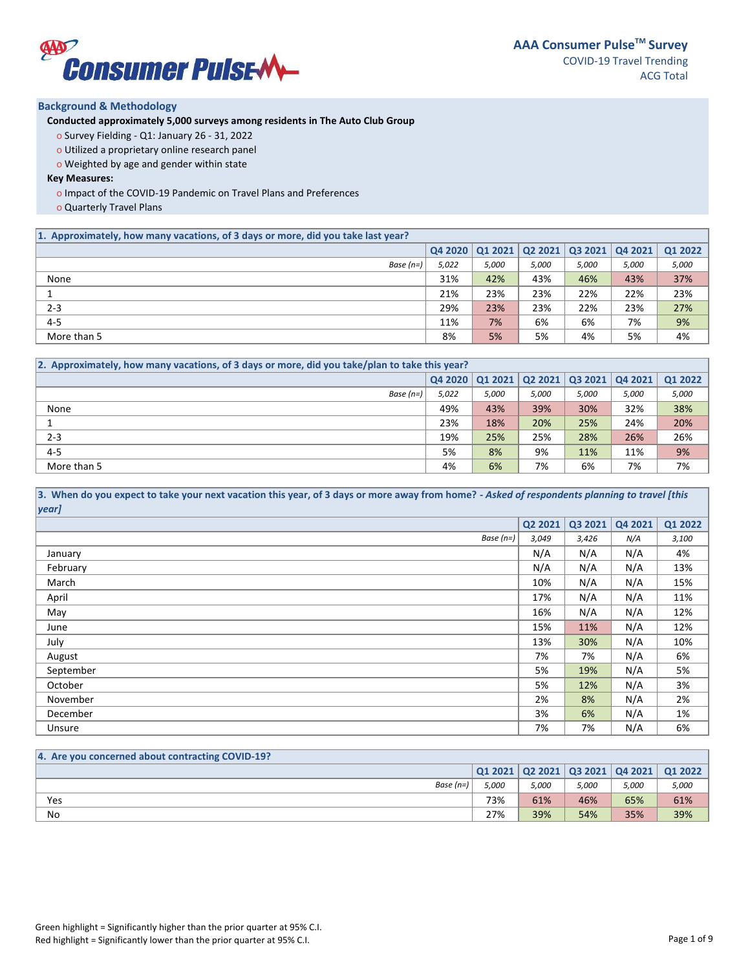

# **Background & Methodology**

**Conducted approximately 5,000 surveys among residents in The Auto Club Group** 

- o Survey Fielding Q1: January 26 31, 2022
- o Utilized a proprietary online research panel
- o Weighted by age and gender within state

# **Key Measures:**

- o Impact of the COVID-19 Pandemic on Travel Plans and Preferences
- o Quarterly Travel Plans

| 1. Approximately, how many vacations, of 3 days or more, did you take last year? |       |                 |                |       |                                |         |
|----------------------------------------------------------------------------------|-------|-----------------|----------------|-------|--------------------------------|---------|
|                                                                                  |       | 04 2020 01 2021 | <b>Q2 2021</b> |       | $\overline{03}$ 2021   Q4 2021 | Q1 2022 |
| Base $(n=)$                                                                      | 5,022 | 5,000           | 5,000          | 5,000 | 5,000                          | 5,000   |
| None                                                                             | 31%   | 42%             | 43%            | 46%   | 43%                            | 37%     |
|                                                                                  | 21%   | 23%             | 23%            | 22%   | 22%                            | 23%     |
| $2 - 3$                                                                          | 29%   | 23%             | 23%            | 22%   | 23%                            | 27%     |
| $4 - 5$                                                                          | 11%   | 7%              | 6%             | 6%    | 7%                             | 9%      |
| More than 5                                                                      | 8%    | 5%              | 5%             | 4%    | 5%                             | 4%      |

| [2. Approximately, how many vacations, of 3 days or more, did you take/plan to take this year? |         |       |       |                                                         |         |         |  |
|------------------------------------------------------------------------------------------------|---------|-------|-------|---------------------------------------------------------|---------|---------|--|
|                                                                                                | Q4 2020 |       |       | $\vert$ Q1 2021 $\vert$ Q2 2021 $\vert$ Q3 2021 $\vert$ | Q4 2021 | Q1 2022 |  |
| Base $(n=)$                                                                                    | 5,022   | 5,000 | 5,000 | 5,000                                                   | 5,000   | 5,000   |  |
| None                                                                                           | 49%     | 43%   | 39%   | 30%                                                     | 32%     | 38%     |  |
|                                                                                                | 23%     | 18%   | 20%   | 25%                                                     | 24%     | 20%     |  |
| $2 - 3$                                                                                        | 19%     | 25%   | 25%   | 28%                                                     | 26%     | 26%     |  |
| $4 - 5$                                                                                        | 5%      | 8%    | 9%    | 11%                                                     | 11%     | 9%      |  |
| More than 5                                                                                    | 4%      | 6%    | 7%    | 6%                                                      | 7%      | 7%      |  |

#### **3. When do you expect to take your next vacation this year, of 3 days or more away from home?** *- Asked of respondents planning to travel [this year]*

| $\mathbf{y}$ |         |         |         |         |
|--------------|---------|---------|---------|---------|
|              | Q2 2021 | Q3 2021 | Q4 2021 | Q1 2022 |
| Base $(n=)$  | 3,049   | 3,426   | N/A     | 3,100   |
| January      | N/A     | N/A     | N/A     | 4%      |
| February     | N/A     | N/A     | N/A     | 13%     |
| March        | 10%     | N/A     | N/A     | 15%     |
| April        | 17%     | N/A     | N/A     | 11%     |
| May          | 16%     | N/A     | N/A     | 12%     |
| June         | 15%     | 11%     | N/A     | 12%     |
| July         | 13%     | 30%     | N/A     | 10%     |
| August       | 7%      | 7%      | N/A     | 6%      |
| September    | 5%      | 19%     | N/A     | 5%      |
| October      | 5%      | 12%     | N/A     | 3%      |
| November     | 2%      | 8%      | N/A     | 2%      |
| December     | 3%      | 6%      | N/A     | 1%      |
| Unsure       | 7%      | 7%      | N/A     | 6%      |

| 4. Are you concerned about contracting COVID-19? |       |       |       |       |                                                 |
|--------------------------------------------------|-------|-------|-------|-------|-------------------------------------------------|
|                                                  |       |       |       |       | Q1 2021   Q2 2021   Q3 2021   Q4 2021   Q1 2022 |
| Base $(n=)$                                      | 5.000 | 5.000 | 5,000 | 5,000 | 5,000                                           |
| Yes                                              | 73%   | 61%   | 46%   | 65%   | 61%                                             |
| No                                               | 27%   | 39%   | 54%   | 35%   | 39%                                             |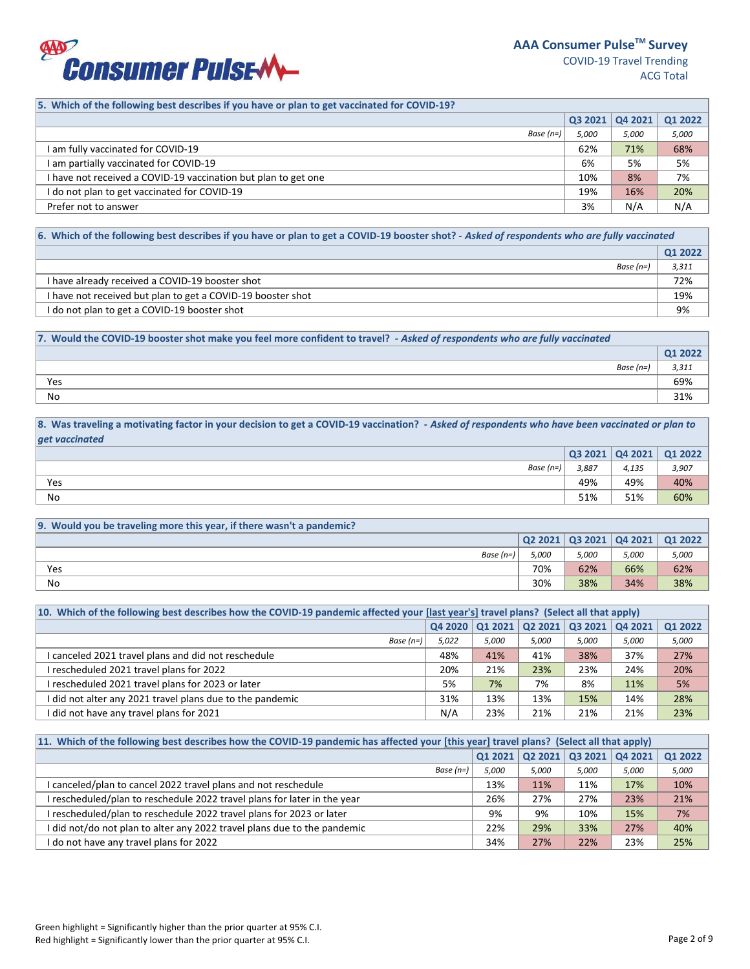

# **5. Which of the following best describes if you have or plan to get vaccinated for COVID-19?**

|                                                                | Q32021 | $\sqrt{042021}$ | Q1 2022 |
|----------------------------------------------------------------|--------|-----------------|---------|
| Base $(n=)$                                                    | 5.000  | 5,000           | 5,000   |
| am fully vaccinated for COVID-19                               | 62%    | 71%             | 68%     |
| am partially vaccinated for COVID-19                           | 6%     | 5%              | 5%      |
| I have not received a COVID-19 vaccination but plan to get one | 10%    | 8%              | 7%      |
| I do not plan to get vaccinated for COVID-19                   | 19%    | 16%             | 20%     |
| Prefer not to answer                                           | 3%     | N/A             | N/A     |

# **6. Which of the following best describes if you have or plan to get a COVID-19 booster shot? -** *Asked of respondents who are fully vaccinated*

|                                                             | Q1 2022 |
|-------------------------------------------------------------|---------|
| Base (n=)                                                   | 3,311   |
| I have already received a COVID-19 booster shot             | 72%     |
| I have not received but plan to get a COVID-19 booster shot | 19%     |
| I do not plan to get a COVID-19 booster shot                | 9%      |

| 7. Would the COVID-19 booster shot make you feel more confident to travel? - Asked of respondents who are fully vaccinated |         |
|----------------------------------------------------------------------------------------------------------------------------|---------|
|                                                                                                                            | 01 2022 |
| Base (n=)                                                                                                                  | 3,311   |
| Yes                                                                                                                        | 69%     |
| No                                                                                                                         | 31%     |

**8. Was traveling a motivating factor in your decision to get a COVID-19 vaccination? -** *Asked of respondents who have been vaccinated or plan to get vaccinated*

|           | Q32021 | $\sqrt{$ Q4 2021 | Q1 2022 |
|-----------|--------|------------------|---------|
| Base (n=) | 3,887  | 4,135            | 3,907   |
| Yes       | 49%    | 49%              | 40%     |
| No        | 51%    | 51%              | 60%     |

| [9. Would you be traveling more this year, if there wasn't a pandemic?] |       |       |       |                                                                         |
|-------------------------------------------------------------------------|-------|-------|-------|-------------------------------------------------------------------------|
|                                                                         |       |       |       | $\vert$ Q2 2021 $\vert$ Q3 2021 $\vert$ Q4 2021 $\vert$ Q1 2022 $\vert$ |
| Base (n=)                                                               | 5,000 | 5,000 | 5,000 | 5,000                                                                   |
| Yes                                                                     | 70%   | 62%   | 66%   | 62%                                                                     |
| No                                                                      | 30%   | 38%   | 34%   | 38%                                                                     |

| 10. Which of the following best describes how the COVID-19 pandemic affected your [last year's] travel plans? (Select all that apply) |       |       |       |                                 |         |                |  |
|---------------------------------------------------------------------------------------------------------------------------------------|-------|-------|-------|---------------------------------|---------|----------------|--|
|                                                                                                                                       |       |       |       | 04 2020 01 2021 02 2021 03 2021 | Q4 2021 | <b>Q1 2022</b> |  |
| Base $(n=)$                                                                                                                           | 5,022 | 5,000 | 5.000 | 5.000                           | 5,000   | 5,000          |  |
| I canceled 2021 travel plans and did not reschedule                                                                                   | 48%   | 41%   | 41%   | 38%                             | 37%     | 27%            |  |
| I rescheduled 2021 travel plans for 2022                                                                                              | 20%   | 21%   | 23%   | 23%                             | 24%     | 20%            |  |
| I rescheduled 2021 travel plans for 2023 or later                                                                                     | 5%    | 7%    | 7%    | 8%                              | 11%     | 5%             |  |
| I did not alter any 2021 travel plans due to the pandemic                                                                             | 31%   | 13%   | 13%   | 15%                             | 14%     | 28%            |  |
| I did not have any travel plans for 2021                                                                                              | N/A   | 23%   | 21%   | 21%                             | 21%     | 23%            |  |

| 11. Which of the following best describes how the COVID-19 pandemic has affected your [this year] travel plans? (Select all that apply) |         |        |                 |         |                |  |
|-----------------------------------------------------------------------------------------------------------------------------------------|---------|--------|-----------------|---------|----------------|--|
|                                                                                                                                         | 01 2021 | Q22021 | $ $ Q3 2021 $ $ | Q4 2021 | <b>Q1 2022</b> |  |
| Base $(n=)$                                                                                                                             | 5,000   | 5,000  | 5,000           | 5,000   | 5,000          |  |
| I canceled/plan to cancel 2022 travel plans and not reschedule                                                                          | 13%     | 11%    | 11%             | 17%     | 10%            |  |
| I rescheduled/plan to reschedule 2022 travel plans for later in the year                                                                | 26%     | 27%    | 27%             | 23%     | 21%            |  |
| I rescheduled/plan to reschedule 2022 travel plans for 2023 or later                                                                    | 9%      | 9%     | 10%             | 15%     | 7%             |  |
| I did not/do not plan to alter any 2022 travel plans due to the pandemic                                                                | 22%     | 29%    | 33%             | 27%     | 40%            |  |
| I do not have any travel plans for 2022                                                                                                 | 34%     | 27%    | 22%             | 23%     | 25%            |  |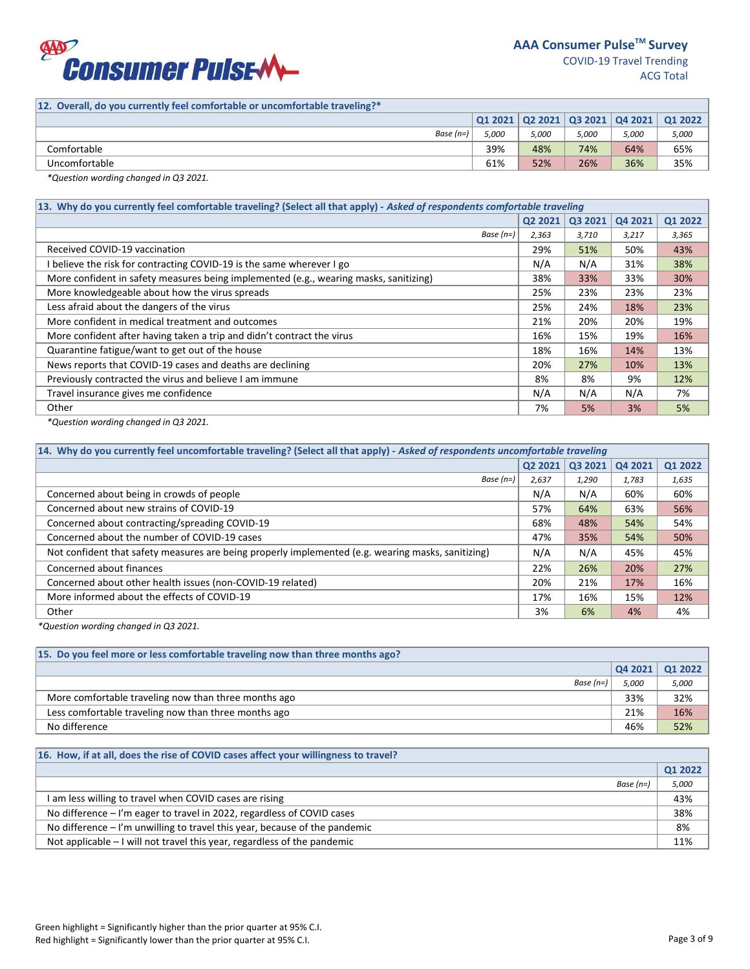

# **12. Overall, do you currently feel comfortable or uncomfortable traveling?\***

|               |       | 012021   022021 |       | $\vert$ Q3 2021 $\vert$ Q4 2021 $\vert$ | 01 2022 |
|---------------|-------|-----------------|-------|-----------------------------------------|---------|
| Base $(n=)$   | 5,000 | 5.000           | 5,000 | 5,000                                   | 5,000   |
| Comfortable   | 39%   | 48%             | 74%   | 64%                                     | 65%     |
| Uncomfortable | 61%   | 52%             | 26%   | 36%                                     | 35%     |
|               |       |                 |       |                                         |         |

*\*Question wording changed in Q3 2021.* 

| 13. Why do you currently feel comfortable traveling? (Select all that apply) - Asked of respondents comfortable traveling |       |       |         |         |  |  |  |  |
|---------------------------------------------------------------------------------------------------------------------------|-------|-------|---------|---------|--|--|--|--|
| Q2 2021                                                                                                                   |       |       | Q4 2021 | Q1 2022 |  |  |  |  |
| Base $(n=)$                                                                                                               | 2,363 | 3,710 | 3,217   | 3,365   |  |  |  |  |
| Received COVID-19 vaccination                                                                                             | 29%   | 51%   | 50%     | 43%     |  |  |  |  |
| I believe the risk for contracting COVID-19 is the same wherever I go                                                     | N/A   | N/A   | 31%     | 38%     |  |  |  |  |
| More confident in safety measures being implemented (e.g., wearing masks, sanitizing)                                     | 38%   | 33%   | 33%     | 30%     |  |  |  |  |
| More knowledgeable about how the virus spreads                                                                            | 25%   | 23%   | 23%     | 23%     |  |  |  |  |
| Less afraid about the dangers of the virus                                                                                | 25%   | 24%   | 18%     | 23%     |  |  |  |  |
| More confident in medical treatment and outcomes                                                                          | 21%   | 20%   | 20%     | 19%     |  |  |  |  |
| More confident after having taken a trip and didn't contract the virus                                                    | 16%   | 15%   | 19%     | 16%     |  |  |  |  |
| Quarantine fatigue/want to get out of the house                                                                           | 18%   | 16%   | 14%     | 13%     |  |  |  |  |
| News reports that COVID-19 cases and deaths are declining                                                                 | 20%   | 27%   | 10%     | 13%     |  |  |  |  |
| Previously contracted the virus and believe I am immune                                                                   | 8%    | 8%    | 9%      | 12%     |  |  |  |  |
| Travel insurance gives me confidence                                                                                      | N/A   | N/A   | N/A     | 7%      |  |  |  |  |
| Other                                                                                                                     | 7%    | 5%    | 3%      | 5%      |  |  |  |  |

*\*Question wording changed in Q3 2021.* 

| 14. Why do you currently feel uncomfortable traveling? (Select all that apply) - Asked of respondents uncomfortable traveling |         |         |         |         |  |  |  |  |
|-------------------------------------------------------------------------------------------------------------------------------|---------|---------|---------|---------|--|--|--|--|
|                                                                                                                               | Q2 2021 | Q3 2021 | Q4 2021 | Q1 2022 |  |  |  |  |
| Base $(n=)$                                                                                                                   | 2,637   | 1,290   | 1,783   | 1,635   |  |  |  |  |
| Concerned about being in crowds of people                                                                                     | N/A     | N/A     | 60%     | 60%     |  |  |  |  |
| Concerned about new strains of COVID-19                                                                                       | 57%     | 64%     | 63%     | 56%     |  |  |  |  |
| Concerned about contracting/spreading COVID-19                                                                                | 68%     | 48%     | 54%     | 54%     |  |  |  |  |
| Concerned about the number of COVID-19 cases                                                                                  | 47%     | 35%     | 54%     | 50%     |  |  |  |  |
| Not confident that safety measures are being properly implemented (e.g. wearing masks, sanitizing)                            |         | N/A     | 45%     | 45%     |  |  |  |  |
| Concerned about finances                                                                                                      | 22%     | 26%     | 20%     | 27%     |  |  |  |  |
| Concerned about other health issues (non-COVID-19 related)                                                                    | 20%     | 21%     | 17%     | 16%     |  |  |  |  |
| More informed about the effects of COVID-19                                                                                   | 17%     | 16%     | 15%     | 12%     |  |  |  |  |
| Other                                                                                                                         | 3%      | 6%      | 4%      | 4%      |  |  |  |  |

*\*Question wording changed in Q3 2021.* 

| 15. Do you feel more or less comfortable traveling now than three months ago? |       |                 |  |  |  |  |  |  |
|-------------------------------------------------------------------------------|-------|-----------------|--|--|--|--|--|--|
|                                                                               |       | Q42021   Q12022 |  |  |  |  |  |  |
| Base $(n=)$                                                                   | 5,000 | 5,000           |  |  |  |  |  |  |
| More comfortable traveling now than three months ago                          | 33%   | 32%             |  |  |  |  |  |  |
| Less comfortable traveling now than three months ago                          | 21%   | 16%             |  |  |  |  |  |  |
| No difference                                                                 | 46%   | 52%             |  |  |  |  |  |  |

# **16. How, if at all, does the rise of COVID cases affect your willingness to travel?**

|                                                                              | Q1 2022 |
|------------------------------------------------------------------------------|---------|
| Base $(n=$                                                                   | 5,000   |
| I am less willing to travel when COVID cases are rising                      | 43%     |
| No difference - I'm eager to travel in 2022, regardless of COVID cases       | 38%     |
| No difference $-1$ 'm unwilling to travel this year, because of the pandemic | 8%      |
| Not applicable $-1$ will not travel this year, regardless of the pandemic    | 11%     |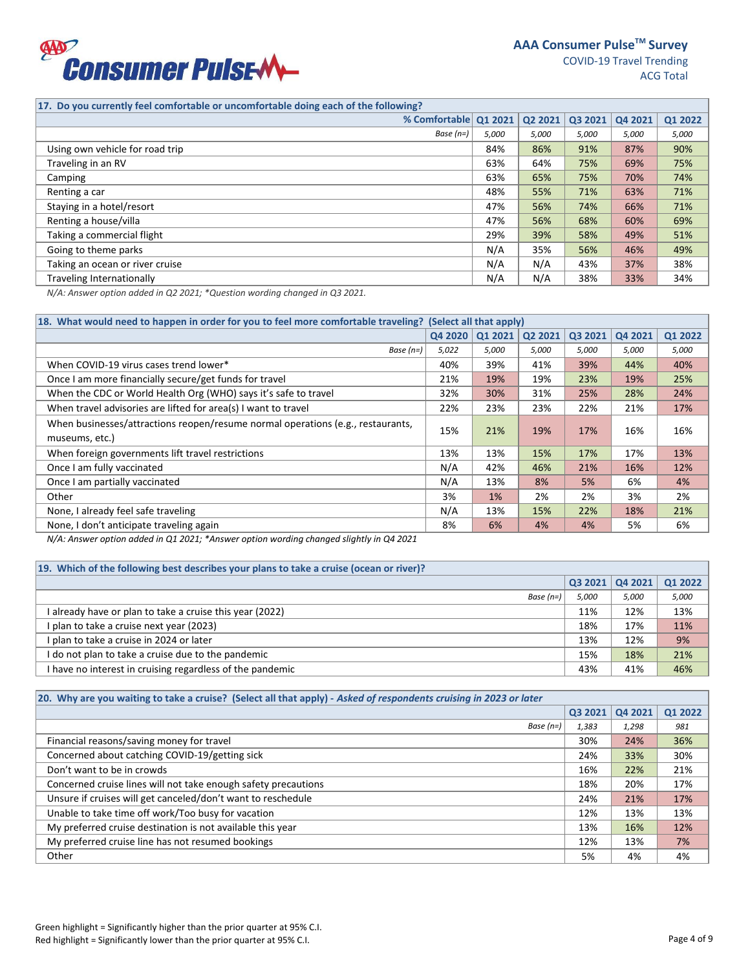

**17. Do you currently feel comfortable or uncomfortable doing each of the following?**

|                                  | % Comfortable Q1 2021 |       | Q2 2021 | Q3 2021 | Q4 2021 | Q1 2022 |
|----------------------------------|-----------------------|-------|---------|---------|---------|---------|
|                                  | Base $(n=)$           | 5,000 | 5.000   | 5,000   | 5,000   | 5,000   |
| Using own vehicle for road trip  |                       | 84%   | 86%     | 91%     | 87%     | 90%     |
| Traveling in an RV               |                       | 63%   | 64%     | 75%     | 69%     | 75%     |
| Camping                          |                       | 63%   | 65%     | 75%     | 70%     | 74%     |
| Renting a car                    |                       | 48%   | 55%     | 71%     | 63%     | 71%     |
| Staying in a hotel/resort        |                       | 47%   | 56%     | 74%     | 66%     | 71%     |
| Renting a house/villa            |                       | 47%   | 56%     | 68%     | 60%     | 69%     |
| Taking a commercial flight       |                       | 29%   | 39%     | 58%     | 49%     | 51%     |
| Going to theme parks             |                       | N/A   | 35%     | 56%     | 46%     | 49%     |
| Taking an ocean or river cruise  |                       | N/A   | N/A     | 43%     | 37%     | 38%     |
| <b>Traveling Internationally</b> |                       | N/A   | N/A     | 38%     | 33%     | 34%     |
|                                  |                       |       |         |         |         |         |

*N/A: Answer option added in Q2 2021; \*Question wording changed in Q3 2021.* 

| 18. What would need to happen in order for you to feel more comfortable traveling? (Select all that apply) |         |         |         |         |         |         |  |  |
|------------------------------------------------------------------------------------------------------------|---------|---------|---------|---------|---------|---------|--|--|
|                                                                                                            | Q4 2020 | Q1 2021 | Q2 2021 | Q3 2021 | Q4 2021 | Q1 2022 |  |  |
| Base $(n=)$                                                                                                | 5,022   | 5,000   | 5,000   | 5,000   | 5,000   | 5,000   |  |  |
| When COVID-19 virus cases trend lower*                                                                     | 40%     | 39%     | 41%     | 39%     | 44%     | 40%     |  |  |
| Once I am more financially secure/get funds for travel                                                     | 21%     | 19%     | 19%     | 23%     | 19%     | 25%     |  |  |
| When the CDC or World Health Org (WHO) says it's safe to travel                                            | 32%     | 30%     | 31%     | 25%     | 28%     | 24%     |  |  |
| When travel advisories are lifted for area(s) I want to travel                                             | 22%     | 23%     | 23%     | 22%     | 21%     | 17%     |  |  |
| When businesses/attractions reopen/resume normal operations (e.g., restaurants,<br>museums, etc.)          | 15%     | 21%     | 19%     | 17%     | 16%     | 16%     |  |  |
| When foreign governments lift travel restrictions                                                          | 13%     | 13%     | 15%     | 17%     | 17%     | 13%     |  |  |
| Once I am fully vaccinated                                                                                 | N/A     | 42%     | 46%     | 21%     | 16%     | 12%     |  |  |
| Once I am partially vaccinated                                                                             | N/A     | 13%     | 8%      | 5%      | 6%      | 4%      |  |  |
| Other                                                                                                      | 3%      | 1%      | 2%      | 2%      | 3%      | 2%      |  |  |
| None, I already feel safe traveling                                                                        | N/A     | 13%     | 15%     | 22%     | 18%     | 21%     |  |  |
| None, I don't anticipate traveling again                                                                   | 8%      | 6%      | 4%      | 4%      | 5%      | 6%      |  |  |

*N/A: Answer option added in Q1 2021; \*Answer option wording changed slightly in Q4 2021*

| 19. Which of the following best describes your plans to take a cruise (ocean or river)? |        |                |         |  |  |  |  |  |  |
|-----------------------------------------------------------------------------------------|--------|----------------|---------|--|--|--|--|--|--|
|                                                                                         | Q32021 | <b>Q4 2021</b> | Q1 2022 |  |  |  |  |  |  |
| Base $(n=)$                                                                             | 5,000  | 5,000          | 5,000   |  |  |  |  |  |  |
| l already have or plan to take a cruise this year (2022)                                | 11%    | 12%            | 13%     |  |  |  |  |  |  |
| I plan to take a cruise next year (2023)                                                | 18%    | 17%            | 11%     |  |  |  |  |  |  |
| I plan to take a cruise in 2024 or later                                                | 13%    | 12%            | 9%      |  |  |  |  |  |  |
| I do not plan to take a cruise due to the pandemic                                      | 15%    | 18%            | 21%     |  |  |  |  |  |  |
| I have no interest in cruising regardless of the pandemic                               | 43%    | 41%            | 46%     |  |  |  |  |  |  |

| 20. Why are you waiting to take a cruise? (Select all that apply) - Asked of respondents cruising in 2023 or later |         |         |         |  |  |  |  |  |
|--------------------------------------------------------------------------------------------------------------------|---------|---------|---------|--|--|--|--|--|
|                                                                                                                    | Q3 2021 | Q4 2021 | Q1 2022 |  |  |  |  |  |
| Base $(n=)$                                                                                                        | 1,383   | 1,298   | 981     |  |  |  |  |  |
| Financial reasons/saving money for travel                                                                          | 30%     | 24%     | 36%     |  |  |  |  |  |
| Concerned about catching COVID-19/getting sick                                                                     | 24%     | 33%     | 30%     |  |  |  |  |  |
| Don't want to be in crowds                                                                                         | 16%     | 22%     | 21%     |  |  |  |  |  |
| Concerned cruise lines will not take enough safety precautions                                                     | 18%     | 20%     | 17%     |  |  |  |  |  |
| Unsure if cruises will get canceled/don't want to reschedule                                                       | 24%     | 21%     | 17%     |  |  |  |  |  |
| Unable to take time off work/Too busy for vacation                                                                 | 12%     | 13%     | 13%     |  |  |  |  |  |
| My preferred cruise destination is not available this year                                                         | 13%     | 16%     | 12%     |  |  |  |  |  |
| My preferred cruise line has not resumed bookings                                                                  | 12%     | 13%     | 7%      |  |  |  |  |  |
| Other                                                                                                              | 5%      | 4%      | 4%      |  |  |  |  |  |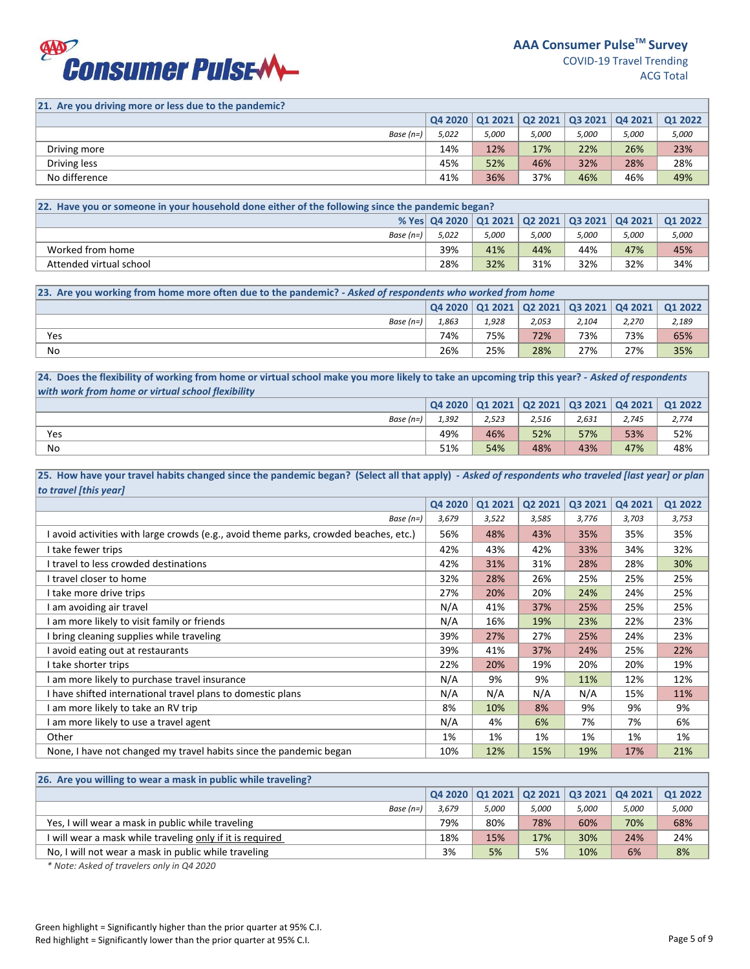

**21. Are you driving more or less due to the pandemic?**

|               |       |       |              |       | $\mid$ Q4 2020 $\mid$ Q1 2021 $\mid$ Q2 2021 $\mid$ Q3 2021 $\mid$ Q4 2021 $\mid$ | Q1 2022 |
|---------------|-------|-------|--------------|-------|-----------------------------------------------------------------------------------|---------|
| Base (n=)     | 5,022 | 5,000 | <i>5,000</i> | 5,000 | 5,000                                                                             | 5,000   |
| Driving more  | 14%   | 12%   | 17%          | 22%   | 26%                                                                               | 23%     |
| Driving less  | 45%   | 52%   | 46%          | 32%   | 28%                                                                               | 28%     |
| No difference | 41%   | 36%   | 37%          | 46%   | 46%                                                                               | 49%     |

| [22. Have you or someone in your household done either of the following since the pandemic began?] |       |       |       |       |       |                                                                   |  |  |
|----------------------------------------------------------------------------------------------------|-------|-------|-------|-------|-------|-------------------------------------------------------------------|--|--|
|                                                                                                    |       |       |       |       |       | % Yes   Q4 2020   Q1 2021   Q2 2021   Q3 2021   Q4 2021   Q1 2022 |  |  |
| Base (n=)                                                                                          | 5.022 | 5,000 | 5.000 | 5,000 | 5,000 | 5,000                                                             |  |  |
| Worked from home                                                                                   | 39%   | 41%   | 44%   | 44%   | 47%   | 45%                                                               |  |  |
| Attended virtual school                                                                            | 28%   | 32%   | 31%   | 32%   | 32%   | 34%                                                               |  |  |

| 23. Are you working from home more often due to the pandemic? - Asked of respondents who worked from home |       |       |       |       |       |                                                                                                  |  |  |
|-----------------------------------------------------------------------------------------------------------|-------|-------|-------|-------|-------|--------------------------------------------------------------------------------------------------|--|--|
|                                                                                                           |       |       |       |       |       | $\mid$ Q4 2020 $\mid$ Q1 2021 $\mid$ Q2 2021 $\mid$ Q3 2021 $\mid$ Q4 2021 $\mid$ Q1 2022 $\mid$ |  |  |
| Base $(n=)$                                                                                               | 1.863 | 1,928 | 2.053 | 2.104 | 2,270 | 2,189                                                                                            |  |  |
| Yes                                                                                                       | 74%   | 75%   | 72%   | 73%   | 73%   | 65%                                                                                              |  |  |
| No                                                                                                        | 26%   | 25%   | 28%   | 27%   | 27%   | 35%                                                                                              |  |  |

**24. Does the flexibility of working from home or virtual school make you more likely to take an upcoming trip this year? -** *Asked of respondents with work from home or virtual school flexibility*

|             | Q4 2020 | 01 2021 |       | Q2 2021   Q3 2021 | Q4 2021 | <b>Q1 2022</b> |
|-------------|---------|---------|-------|-------------------|---------|----------------|
| Base $(n=)$ | 1,392   | 2,523   | 2,516 | 2,631             | 2,745   | 2,774          |
| Yes         | 49%     | 46%     | 52%   | 57%               | 53%     | 52%            |
| No          | 51%     | 54%     | 48%   | 43%               | 47%     | 48%            |

25. How have your travel habits changed since the pandemic began? (Select all that apply) - Asked of respondents who traveled [last year] or plan *to travel [this year]*

|                                                                                       | Q4 2020 | Q1 2021 | Q2 2021 | Q3 2021 | Q4 2021 | Q1 2022 |
|---------------------------------------------------------------------------------------|---------|---------|---------|---------|---------|---------|
| Base $(n=)$                                                                           | 3,679   | 3,522   | 3,585   | 3,776   | 3,703   | 3,753   |
| l avoid activities with large crowds (e.g., avoid theme parks, crowded beaches, etc.) | 56%     | 48%     | 43%     | 35%     | 35%     | 35%     |
| I take fewer trips                                                                    | 42%     | 43%     | 42%     | 33%     | 34%     | 32%     |
| I travel to less crowded destinations                                                 | 42%     | 31%     | 31%     | 28%     | 28%     | 30%     |
| I travel closer to home                                                               | 32%     | 28%     | 26%     | 25%     | 25%     | 25%     |
| I take more drive trips                                                               | 27%     | 20%     | 20%     | 24%     | 24%     | 25%     |
| I am avoiding air travel                                                              | N/A     | 41%     | 37%     | 25%     | 25%     | 25%     |
| I am more likely to visit family or friends                                           | N/A     | 16%     | 19%     | 23%     | 22%     | 23%     |
| I bring cleaning supplies while traveling                                             | 39%     | 27%     | 27%     | 25%     | 24%     | 23%     |
| avoid eating out at restaurants                                                       | 39%     | 41%     | 37%     | 24%     | 25%     | 22%     |
| I take shorter trips                                                                  | 22%     | 20%     | 19%     | 20%     | 20%     | 19%     |
| am more likely to purchase travel insurance                                           | N/A     | 9%      | 9%      | 11%     | 12%     | 12%     |
| I have shifted international travel plans to domestic plans                           | N/A     | N/A     | N/A     | N/A     | 15%     | 11%     |
| am more likely to take an RV trip                                                     | 8%      | 10%     | 8%      | 9%      | 9%      | 9%      |
| I am more likely to use a travel agent                                                | N/A     | 4%      | 6%      | 7%      | 7%      | 6%      |
| Other                                                                                 | 1%      | 1%      | 1%      | 1%      | 1%      | 1%      |
| None, I have not changed my travel habits since the pandemic began                    | 10%     | 12%     | 15%     | 19%     | 17%     | 21%     |

| 26. Are you willing to wear a mask in public while traveling? |       |       |       |       |       |                                                             |
|---------------------------------------------------------------|-------|-------|-------|-------|-------|-------------------------------------------------------------|
|                                                               |       |       |       |       |       | $Q4 2020   Q1 2021   Q2 2021   Q3 2021   Q4 2021   Q1 2022$ |
| Base $(n=)$                                                   | 3,679 | 5,000 | 5.000 | 5,000 | 5,000 | 5,000                                                       |
| Yes, I will wear a mask in public while traveling             | 79%   | 80%   | 78%   | 60%   | 70%   | 68%                                                         |
| I will wear a mask while traveling only if it is required     | 18%   | 15%   | 17%   | 30%   | 24%   | 24%                                                         |
| No, I will not wear a mask in public while traveling          | 3%    | 5%    | 5%    | 10%   | 6%    | 8%                                                          |

*\* Note: Asked of travelers only in Q4 2020*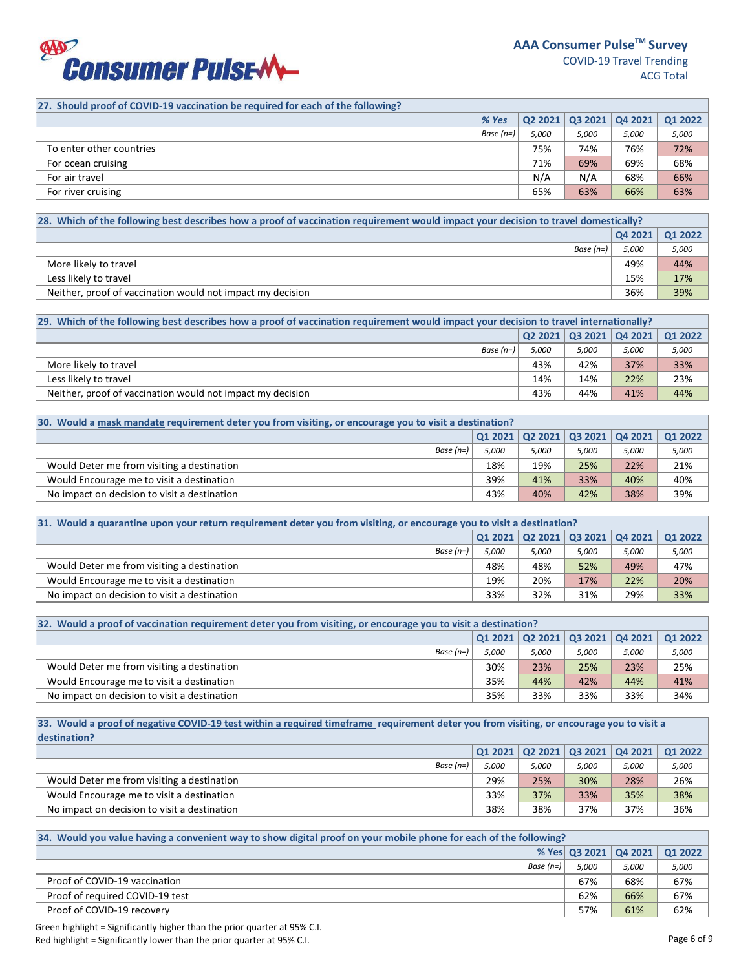

# **27. Should proof of COVID-19 vaccination be required for each of the following?**

|       |                      |       | Q1 2022                                             |
|-------|----------------------|-------|-----------------------------------------------------|
| 5,000 | 5,000                | 5,000 | 5,000                                               |
| 75%   | 74%                  | 76%   | 72%                                                 |
| 71%   | 69%                  | 69%   | 68%                                                 |
| N/A   | N/A                  | 68%   | 66%                                                 |
| 65%   | 63%                  | 66%   | 63%                                                 |
|       | % Yes<br>Base $(n=)$ |       | $\mid$ Q2 2021 $\mid$ Q3 2021 $\mid$ Q4 2021 $\mid$ |

| [28. Which of the following best describes how a proof of vaccination requirement would impact your decision to travel domestically? |       |       |  |  |  |
|--------------------------------------------------------------------------------------------------------------------------------------|-------|-------|--|--|--|
| Q42021   Q12022                                                                                                                      |       |       |  |  |  |
| Base (n=)                                                                                                                            | 5.000 | 5,000 |  |  |  |
| More likely to travel                                                                                                                | 49%   | 44%   |  |  |  |
| Less likely to travel                                                                                                                | 15%   | 17%   |  |  |  |
| Neither, proof of vaccination would not impact my decision                                                                           | 36%   | 39%   |  |  |  |

| [29. Which of the following best describes how a proof of vaccination requirement would impact your decision to travel internationally? |       |              |                             |         |  |  |  |
|-----------------------------------------------------------------------------------------------------------------------------------------|-------|--------------|-----------------------------|---------|--|--|--|
|                                                                                                                                         |       |              | Q2 2021   Q3 2021   Q4 2021 | 01 2022 |  |  |  |
| Base (n=)                                                                                                                               | 5.000 | <i>5,000</i> | 5,000                       | 5,000   |  |  |  |
| More likely to travel                                                                                                                   | 43%   | 42%          | 37%                         | 33%     |  |  |  |
| Less likely to travel                                                                                                                   | 14%   | 14%          | 22%                         | 23%     |  |  |  |
| Neither, proof of vaccination would not impact my decision                                                                              | 43%   | 44%          | 41%                         | 44%     |  |  |  |

| 30. Would a mask mandate requirement deter you from visiting, or encourage you to visit a destination? |       |       |       |       |                                                   |  |  |
|--------------------------------------------------------------------------------------------------------|-------|-------|-------|-------|---------------------------------------------------|--|--|
|                                                                                                        |       |       |       |       | $Q1 2021   Q2 2021   Q3 2021   Q4 2021   Q1 2022$ |  |  |
| Base $(n=)$                                                                                            | 5.000 | 5.000 | 5.000 | 5,000 | 5,000                                             |  |  |
| Would Deter me from visiting a destination                                                             | 18%   | 19%   | 25%   | 22%   | 21%                                               |  |  |
| Would Encourage me to visit a destination                                                              | 39%   | 41%   | 33%   | 40%   | 40%                                               |  |  |
| No impact on decision to visit a destination                                                           | 43%   | 40%   | 42%   | 38%   | 39%                                               |  |  |

| 31. Would a quarantine upon your return requirement deter you from visiting, or encourage you to visit a destination? |       |       |       |       |                                                                                 |  |  |
|-----------------------------------------------------------------------------------------------------------------------|-------|-------|-------|-------|---------------------------------------------------------------------------------|--|--|
|                                                                                                                       |       |       |       |       | $\vert$ Q1 2021 $\vert$ Q2 2021 $\vert$ Q3 2021 $\vert$ Q4 2021 $\vert$ Q1 2022 |  |  |
| Base $(n=)$                                                                                                           | 5,000 | 5.000 | 5,000 | 5.000 | 5,000                                                                           |  |  |
| Would Deter me from visiting a destination                                                                            | 48%   | 48%   | 52%   | 49%   | 47%                                                                             |  |  |
| Would Encourage me to visit a destination                                                                             | 19%   | 20%   | 17%   | 22%   | 20%                                                                             |  |  |
| No impact on decision to visit a destination                                                                          | 33%   | 32%   | 31%   | 29%   | 33%                                                                             |  |  |

| 32. Would a proof of vaccination requirement deter you from visiting, or encourage you to visit a destination? |       |       |       |                                                                    |         |  |  |
|----------------------------------------------------------------------------------------------------------------|-------|-------|-------|--------------------------------------------------------------------|---------|--|--|
|                                                                                                                |       |       |       | $\mid$ Q1 2021 $\mid$ Q2 2021 $\mid$ Q3 2021 $\mid$ Q4 2021 $\mid$ | 01 2022 |  |  |
| Base $(n=)$                                                                                                    | 5.000 | 5.000 | 5,000 | 5,000                                                              | 5,000   |  |  |
| Would Deter me from visiting a destination                                                                     | 30%   | 23%   | 25%   | 23%                                                                | 25%     |  |  |
| Would Encourage me to visit a destination                                                                      | 35%   | 44%   | 42%   | 44%                                                                | 41%     |  |  |
| No impact on decision to visit a destination                                                                   | 35%   | 33%   | 33%   | 33%                                                                | 34%     |  |  |

**33. Would a proof of negative COVID-19 test within a required timeframe requirement deter you from visiting, or encourage you to visit a destination?**

| Base (n=)                                    | 5.000 | 5.000 | 5.000 | 5,000 | 5,000 |
|----------------------------------------------|-------|-------|-------|-------|-------|
| Would Deter me from visiting a destination   | 29%   | 25%   | 30%   | 28%   | 26%   |
| Would Encourage me to visit a destination    | 33%   | 37%   | 33%   | 35%   | 38%   |
| No impact on decision to visit a destination | 38%   | 38%   | 37%   | 37%   | 36%   |
|                                              |       |       |       |       |       |

| 34. Would you value having a convenient way to show digital proof on your mobile phone for each of the following? |       |                                   |       |  |  |
|-------------------------------------------------------------------------------------------------------------------|-------|-----------------------------------|-------|--|--|
|                                                                                                                   |       | % Yes Q3 2021   Q4 2021   Q1 2022 |       |  |  |
| Base $(n=)$                                                                                                       | 5.000 | 5,000                             | 5,000 |  |  |
| Proof of COVID-19 vaccination                                                                                     | 67%   | 68%                               | 67%   |  |  |
| Proof of required COVID-19 test                                                                                   | 62%   | 66%                               | 67%   |  |  |
| Proof of COVID-19 recovery                                                                                        | 57%   | 61%                               | 62%   |  |  |

Green highlight = Significantly higher than the prior quarter at 95% C.I. Red highlight = Significantly lower than the prior quarter at 95% C.I. Compared to the control of 9 and 200 minutes of 9 and 200 minutes of 9 and 200 minutes of 9 and 200 minutes of 9 and 200 minutes of 9 and 200 minutes o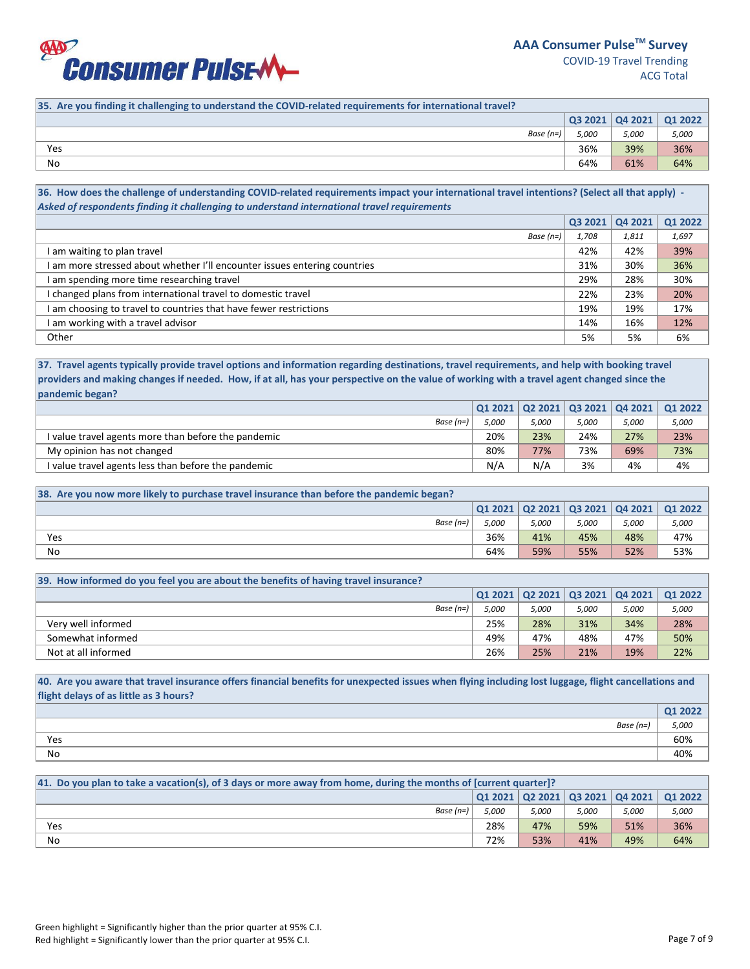

| 35. Are you finding it challenging to understand the COVID-related requirements for international travel? |       |       |                                                         |
|-----------------------------------------------------------------------------------------------------------|-------|-------|---------------------------------------------------------|
|                                                                                                           |       |       | $\vert$ Q3 2021 $\vert$ Q4 2021 $\vert$ Q1 2022 $\vert$ |
| Base $(n=)$                                                                                               | 5.000 | 5,000 | 5,000                                                   |
| Yes                                                                                                       | 36%   | 39%   | 36%                                                     |
| No                                                                                                        | 64%   | 61%   | 64%                                                     |

**36. How does the challenge of understanding COVID-related requirements impact your international travel intentions? (Select all that apply) -**  *Asked of respondents finding it challenging to understand international travel requirements*

|                                                                           | Q3 2021 | Q4 2021 | <b>Q1 2022</b> |
|---------------------------------------------------------------------------|---------|---------|----------------|
| Base (n=)                                                                 | 1,708   | 1,811   | 1,697          |
| I am waiting to plan travel                                               | 42%     | 42%     | 39%            |
| I am more stressed about whether I'll encounter issues entering countries | 31%     | 30%     | 36%            |
| I am spending more time researching travel                                | 29%     | 28%     | 30%            |
| I changed plans from international travel to domestic travel              | 22%     | 23%     | 20%            |
| I am choosing to travel to countries that have fewer restrictions         | 19%     | 19%     | 17%            |
| I am working with a travel advisor                                        | 14%     | 16%     | 12%            |
| Other                                                                     | 5%      | 5%      | 6%             |

# **37. Travel agents typically provide travel options and information regarding destinations, travel requirements, and help with booking travel providers and making changes if needed. How, if at all, has your perspective on the value of working with a travel agent changed since the pandemic began?**

| Base $(n=)$                                         | 5.000 | 5.000 | 5,000 | 5,000 | 5,000 |
|-----------------------------------------------------|-------|-------|-------|-------|-------|
| I value travel agents more than before the pandemic | 20%   | 23%   | 24%   | 27%   | 23%   |
| My opinion has not changed                          | 80%   | 77%   | 73%   | 69%   | 73%   |
| I value travel agents less than before the pandemic | N/A   | N/A   | 3%    | 4%    | 4%    |

| 38. Are you now more likely to purchase travel insurance than before the pandemic began? |       |       |       |              |                                                                            |  |  |
|------------------------------------------------------------------------------------------|-------|-------|-------|--------------|----------------------------------------------------------------------------|--|--|
|                                                                                          |       |       |       |              | $\mid$ Q1 2021 $\mid$ Q2 2021 $\mid$ Q3 2021 $\mid$ Q4 2021 $\mid$ Q1 2022 |  |  |
| Base (n=)                                                                                | 5.000 | 5.000 | 5.000 | <i>5,000</i> | 5,000                                                                      |  |  |
| Yes                                                                                      | 36%   | 41%   | 45%   | 48%          | 47%                                                                        |  |  |
| No                                                                                       | 64%   | 59%   | 55%   | 52%          | 53%                                                                        |  |  |

| 39. How informed do you feel you are about the benefits of having travel insurance? |       |       |                                                                         |       |         |
|-------------------------------------------------------------------------------------|-------|-------|-------------------------------------------------------------------------|-------|---------|
|                                                                                     |       |       | $\vert$ Q1 2021 $\vert$ Q2 2021 $\vert$ Q3 2021 $\vert$ Q4 2021 $\vert$ |       | Q1 2022 |
| Base $(n=)$                                                                         | 5.000 | 5.000 | 5.000                                                                   | 5,000 | 5,000   |
| Very well informed                                                                  | 25%   | 28%   | 31%                                                                     | 34%   | 28%     |
| Somewhat informed                                                                   | 49%   | 47%   | 48%                                                                     | 47%   | 50%     |
| Not at all informed                                                                 | 26%   | 25%   | 21%                                                                     | 19%   | 22%     |

**40. Are you aware that travel insurance offers financial benefits for unexpected issues when flying including lost luggage, flight cancellations and flight delays of as little as 3 hours?**

|     |           | Q1 2022 |
|-----|-----------|---------|
|     | Base (n=) | 5,000   |
| Yes |           | 60%     |
| No  |           | 40%     |

| [41. Do you plan to take a vacation(s), of 3 days or more away from home, during the months of [current quarter]? |       |       |       |       |       |  |  |
|-------------------------------------------------------------------------------------------------------------------|-------|-------|-------|-------|-------|--|--|
| Q1 2021   Q2 2021   Q3 2021   Q4 2021   Q1 2022                                                                   |       |       |       |       |       |  |  |
| Base $(n=)$                                                                                                       | 5.000 | 5.000 | 5,000 | 5,000 | 5,000 |  |  |
| Yes                                                                                                               | 28%   | 47%   | 59%   | 51%   | 36%   |  |  |
| No                                                                                                                | 72%   | 53%   | 41%   | 49%   | 64%   |  |  |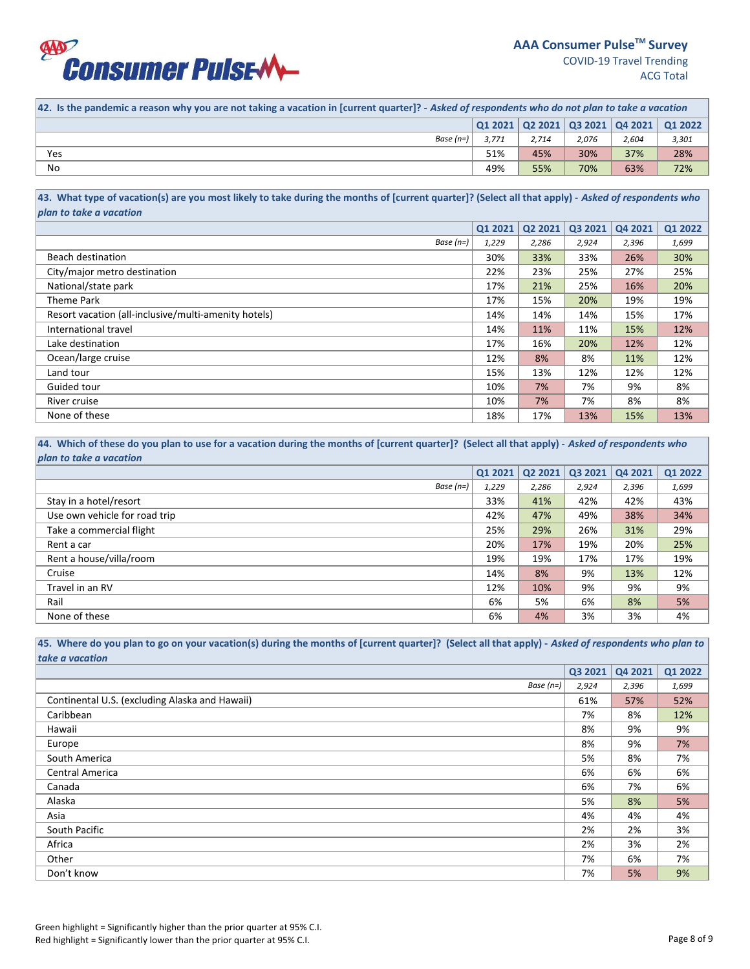

| $\vert$ Q1 2021 $\vert$ Q2 2021 $\vert$ Q3 2021 $\vert$ Q4 2021 $\vert$ Q1 2022<br>Base $(n=)$<br>3.771<br>3,301<br>2.714<br>2.076<br>2,604<br>30%<br>37%<br>28%<br>51%<br>45%<br>Yes | 42. Is the pandemic a reason why you are not taking a vacation in [current quarter]? - Asked of respondents who do not plan to take a vacation |  |  |  |  |  |  |  |
|---------------------------------------------------------------------------------------------------------------------------------------------------------------------------------------|------------------------------------------------------------------------------------------------------------------------------------------------|--|--|--|--|--|--|--|
|                                                                                                                                                                                       |                                                                                                                                                |  |  |  |  |  |  |  |
|                                                                                                                                                                                       |                                                                                                                                                |  |  |  |  |  |  |  |
|                                                                                                                                                                                       |                                                                                                                                                |  |  |  |  |  |  |  |
| No<br>70%<br>55%<br>63%<br>49%<br>72%                                                                                                                                                 |                                                                                                                                                |  |  |  |  |  |  |  |

**43. What type of vacation(s) are you most likely to take during the months of [current quarter]? (Select all that apply) -** *Asked of respondents who plan to take a vacation*

|                                                      | <b>Q1 2021</b> | Q2 2021 | Q3 2021 | Q4 2021 | Q1 2022 |
|------------------------------------------------------|----------------|---------|---------|---------|---------|
| Base $(n=)$                                          | 1,229          | 2,286   | 2,924   | 2,396   | 1,699   |
| Beach destination                                    | 30%            | 33%     | 33%     | 26%     | 30%     |
| City/major metro destination                         | 22%            | 23%     | 25%     | 27%     | 25%     |
| National/state park                                  | 17%            | 21%     | 25%     | 16%     | 20%     |
| Theme Park                                           | 17%            | 15%     | 20%     | 19%     | 19%     |
| Resort vacation (all-inclusive/multi-amenity hotels) | 14%            | 14%     | 14%     | 15%     | 17%     |
| International travel                                 | 14%            | 11%     | 11%     | 15%     | 12%     |
| Lake destination                                     | 17%            | 16%     | 20%     | 12%     | 12%     |
| Ocean/large cruise                                   | 12%            | 8%      | 8%      | 11%     | 12%     |
| Land tour                                            | 15%            | 13%     | 12%     | 12%     | 12%     |
| Guided tour                                          | 10%            | 7%      | 7%      | 9%      | 8%      |
| River cruise                                         | 10%            | 7%      | 7%      | 8%      | 8%      |
| None of these                                        | 18%            | 17%     | 13%     | 15%     | 13%     |

44. Which of these do you plan to use for a vacation during the months of [current quarter]? (Select all that apply) - Asked of respondents who *plan to take a vacation*

|                               | Q1 2021 | Q2 2021 | Q3 2021 | Q4 2021 | Q1 2022 |
|-------------------------------|---------|---------|---------|---------|---------|
| Base $(n=)$                   | 1,229   | 2,286   | 2,924   | 2,396   | 1,699   |
| Stay in a hotel/resort        | 33%     | 41%     | 42%     | 42%     | 43%     |
| Use own vehicle for road trip | 42%     | 47%     | 49%     | 38%     | 34%     |
| Take a commercial flight      | 25%     | 29%     | 26%     | 31%     | 29%     |
| Rent a car                    | 20%     | 17%     | 19%     | 20%     | 25%     |
| Rent a house/villa/room       | 19%     | 19%     | 17%     | 17%     | 19%     |
| Cruise                        | 14%     | 8%      | 9%      | 13%     | 12%     |
| Travel in an RV               | 12%     | 10%     | 9%      | 9%      | 9%      |
| Rail                          | 6%      | 5%      | 6%      | 8%      | 5%      |
| None of these                 | 6%      | 4%      | 3%      | 3%      | 4%      |

45. Where do you plan to go on your vacation(s) during the months of [current quarter]? (Select all that apply) - Asked of respondents who plan to *take a vacation* 

|                                                | Q3 2021 | Q4 2021 | Q1 2022 |
|------------------------------------------------|---------|---------|---------|
| Base $(n=)$                                    | 2,924   | 2,396   | 1,699   |
| Continental U.S. (excluding Alaska and Hawaii) | 61%     | 57%     | 52%     |
| Caribbean                                      | 7%      | 8%      | 12%     |
| Hawaii                                         | 8%      | 9%      | 9%      |
| Europe                                         | 8%      | 9%      | 7%      |
| South America                                  | 5%      | 8%      | 7%      |
| Central America                                | 6%      | 6%      | 6%      |
| Canada                                         | 6%      | 7%      | 6%      |
| Alaska                                         | 5%      | 8%      | 5%      |
| Asia                                           | 4%      | 4%      | 4%      |
| South Pacific                                  | 2%      | 2%      | 3%      |
| Africa                                         | 2%      | 3%      | 2%      |
| Other                                          | 7%      | 6%      | 7%      |
| Don't know                                     | 7%      | 5%      | 9%      |